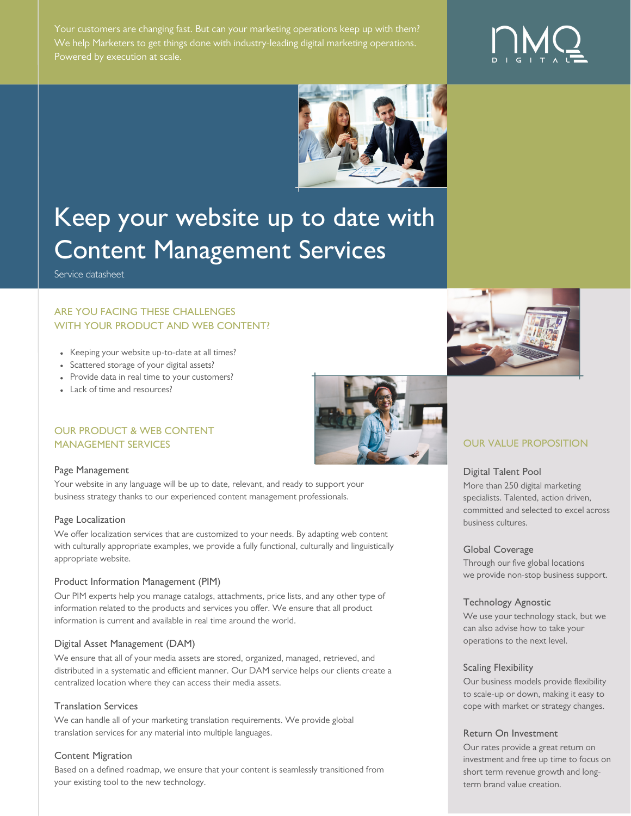Your customers are changing fast. But can your marketing operations keep up with them? We help Marketers to get things done with industry-leading digital marketing operations.





# Keep your website up to date with Content Management Services

Service datasheet

# ARE YOU FACING THESE CHALLENGES WITH YOUR PRODUCT AND WEB CONTENT?

- Keeping your website up-to-date at all times?
- Scattered storage of your digital assets?
- Provide data in real time to your customers?
- Lack of time and resources?

## OUR PRODUCT & WEB CONTENT MANAGEMENT SERVICES **OUR VALUE PROPOSITION**

#### Page Management

Your website in any language will be up to date, relevant, and ready to support your business strategy thanks to our experienced content management professionals.

## Page Localization

We offer localization services that are customized to your needs. By adapting web content with culturally appropriate examples, we provide a fully functional, culturally and linguistically appropriate website.

## Product Information Management (PIM)

Our PIM experts help you manage catalogs, attachments, price lists, and any other type of information related to the products and services you offer. We ensure that all product information is current and available in real time around the world.

## Digital Asset Management (DAM)

We ensure that all of your media assets are stored, organized, managed, retrieved, and distributed in a systematic and efficient manner. Our DAM service helps our clients create a centralized location where they can access their media assets.

## Translation Services

We can handle all of your marketing translation requirements. We provide global translation services for any material into multiple languages.

## Content Migration

Based on a defined roadmap, we ensure that your content is seamlessly transitioned from your existing tool to the new technology.





#### Digital Talent Pool

More than 250 digital marketing specialists. Talented, action driven, committed and selected to excel across business cultures.

#### Global Coverage

Through our five global locations we provide non-stop business support.

## Technology Agnostic

We use your technology stack, but we can also advise how to take your operations to the next level.

#### Scaling Flexibility

Our business models provide flexibility to scale-up or down, making it easy to cope with market or strategy changes.

#### Return On Investment

Our rates provide a great return on investment and free up time to focus on short term revenue growth and longterm brand value creation.